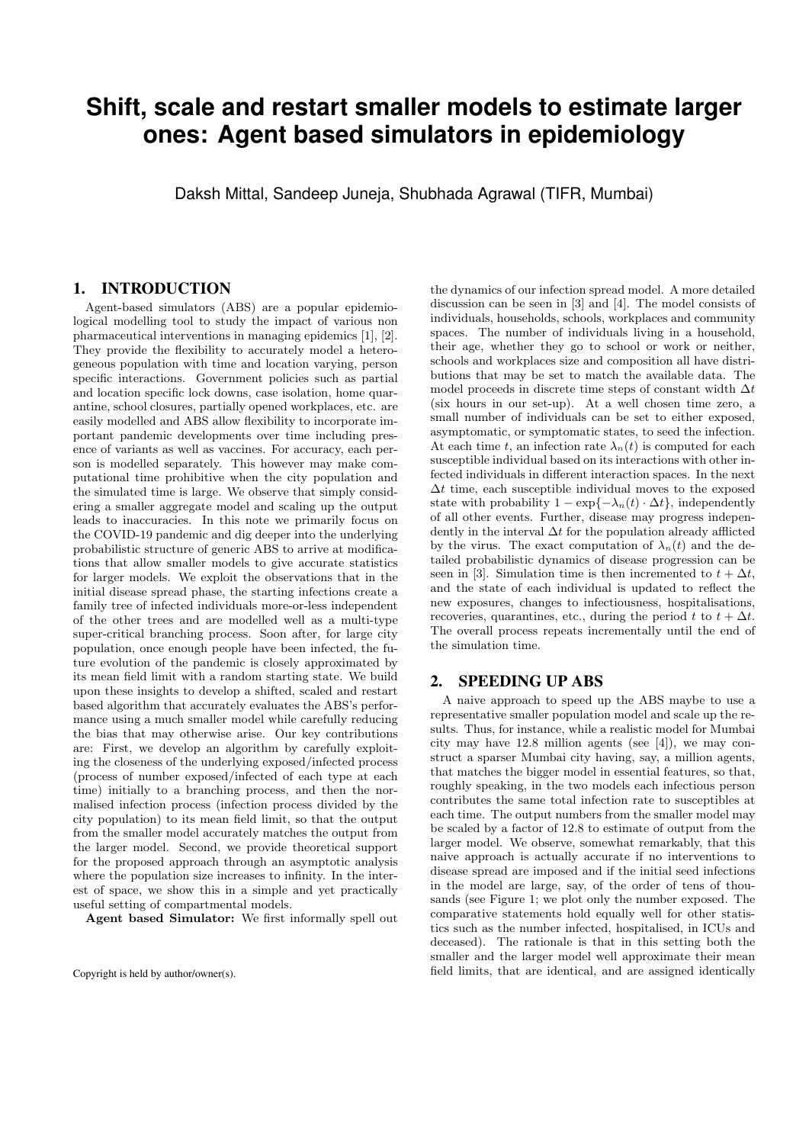## **Shift, scale and restart smaller models to estimate larger ones: Agent based simulators in epidemiology**

Daksh Mittal, Sandeep Juneja, Shubhada Agrawal (TIFR, Mumbai)

## 1. INTRODUCTION

Agent-based simulators (ABS) are a popular epidemiological modelling tool to study the impact of various non pharmaceutical interventions in managing epidemics [1], [2]. They provide the flexibility to accurately model a heterogeneous population with time and location varying, person specific interactions. Government policies such as partial and location specific lock downs, case isolation, home quarantine, school closures, partially opened workplaces, etc. are easily modelled and ABS allow flexibility to incorporate important pandemic developments over time including presence of variants as well as vaccines. For accuracy, each person is modelled separately. This however may make computational time prohibitive when the city population and the simulated time is large. We observe that simply considering a smaller aggregate model and scaling up the output leads to inaccuracies. In this note we primarily focus on the COVID-19 pandemic and dig deeper into the underlying probabilistic structure of generic ABS to arrive at modifications that allow smaller models to give accurate statistics for larger models. We exploit the observations that in the initial disease spread phase, the starting infections create a family tree of infected individuals more-or-less independent of the other trees and are modelled well as a multi-type super-critical branching process. Soon after, for large city population, once enough people have been infected, the future evolution of the pandemic is closely approximated by its mean field limit with a random starting state. We build upon these insights to develop a shifted, scaled and restart based algorithm that accurately evaluates the ABS's performance using a much smaller model while carefully reducing the bias that may otherwise arise. Our key contributions are: First, we develop an algorithm by carefully exploiting the closeness of the underlying exposed/infected process (process of number exposed/infected of each type at each time) initially to a branching process, and then the normalised infection process (infection process divided by the city population) to its mean field limit, so that the output from the smaller model accurately matches the output from the larger model. Second, we provide theoretical support for the proposed approach through an asymptotic analysis where the population size increases to infinity. In the interest of space, we show this in a simple and yet practically useful setting of compartmental models.

Agent based Simulator: We first informally spell out

the dynamics of our infection spread model. A more detailed discussion can be seen in [3] and [4]. The model consists of individuals, households, schools, workplaces and community spaces. The number of individuals living in a household, their age, whether they go to school or work or neither, schools and workplaces size and composition all have distributions that may be set to match the available data. The model proceeds in discrete time steps of constant width  $\Delta t$ (six hours in our set-up). At a well chosen time zero, a small number of individuals can be set to either exposed, asymptomatic, or symptomatic states, to seed the infection. At each time t, an infection rate  $\lambda_n(t)$  is computed for each susceptible individual based on its interactions with other infected individuals in different interaction spaces. In the next  $\Delta t$  time, each susceptible individual moves to the exposed state with probability  $1 - \exp\{-\lambda_n(t) \cdot \Delta t\}$ , independently of all other events. Further, disease may progress independently in the interval  $\Delta t$  for the population already afflicted by the virus. The exact computation of  $\lambda_n(t)$  and the detailed probabilistic dynamics of disease progression can be seen in [3]. Simulation time is then incremented to  $t + \Delta t$ , and the state of each individual is updated to reflect the new exposures, changes to infectiousness, hospitalisations, recoveries, quarantines, etc., during the period t to  $t + \Delta t$ . The overall process repeats incrementally until the end of the simulation time.

## 2. SPEEDING UP ABS

A naive approach to speed up the ABS maybe to use a representative smaller population model and scale up the results. Thus, for instance, while a realistic model for Mumbai city may have 12.8 million agents (see [4]), we may construct a sparser Mumbai city having, say, a million agents, that matches the bigger model in essential features, so that, roughly speaking, in the two models each infectious person contributes the same total infection rate to susceptibles at each time. The output numbers from the smaller model may be scaled by a factor of 12.8 to estimate of output from the larger model. We observe, somewhat remarkably, that this naive approach is actually accurate if no interventions to disease spread are imposed and if the initial seed infections in the model are large, say, of the order of tens of thousands (see Figure 1; we plot only the number exposed. The comparative statements hold equally well for other statistics such as the number infected, hospitalised, in ICUs and deceased). The rationale is that in this setting both the smaller and the larger model well approximate their mean field limits, that are identical, and are assigned identically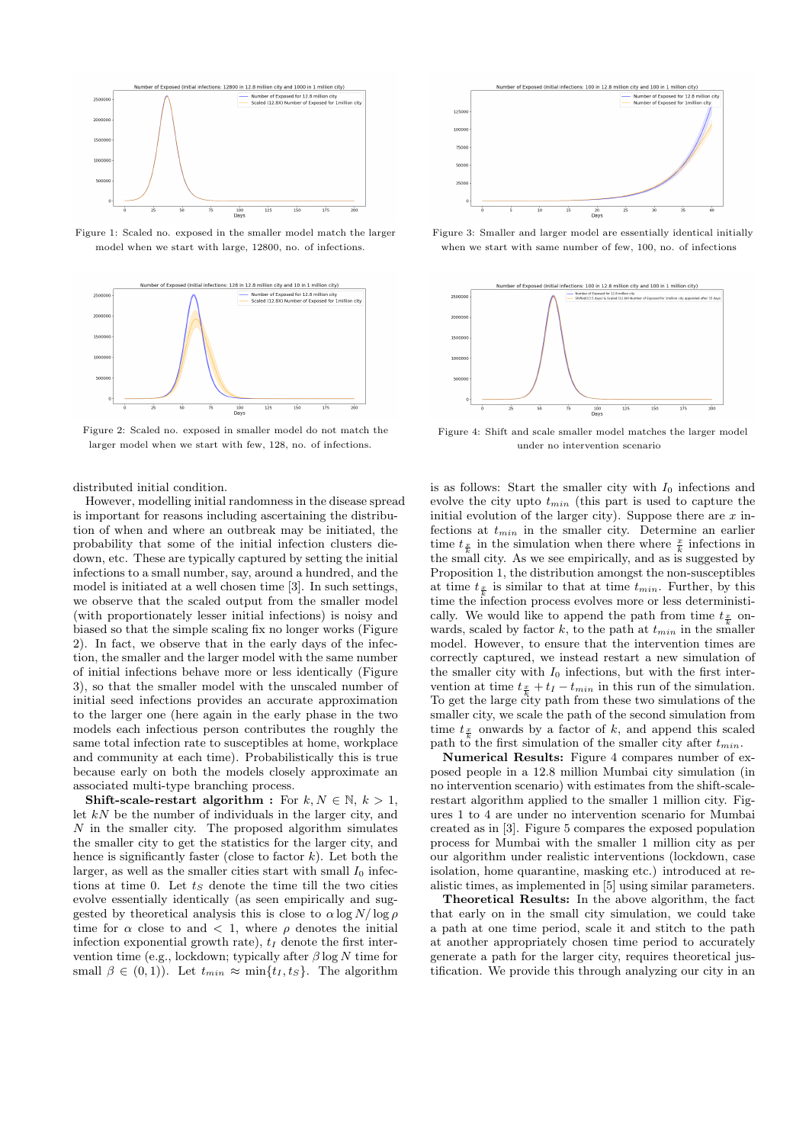

Figure 1: Scaled no. exposed in the smaller model match the larger model when we start with large, 12800, no. of infections.



Figure 2: Scaled no. exposed in smaller model do not match the larger model when we start with few, 128, no. of infections.

distributed initial condition.

However, modelling initial randomness in the disease spread is important for reasons including ascertaining the distribution of when and where an outbreak may be initiated, the probability that some of the initial infection clusters diedown, etc. These are typically captured by setting the initial infections to a small number, say, around a hundred, and the model is initiated at a well chosen time [3]. In such settings, we observe that the scaled output from the smaller model (with proportionately lesser initial infections) is noisy and biased so that the simple scaling fix no longer works (Figure 2). In fact, we observe that in the early days of the infection, the smaller and the larger model with the same number of initial infections behave more or less identically (Figure 3), so that the smaller model with the unscaled number of initial seed infections provides an accurate approximation to the larger one (here again in the early phase in the two models each infectious person contributes the roughly the same total infection rate to susceptibles at home, workplace and community at each time). Probabilistically this is true because early on both the models closely approximate an associated multi-type branching process.

Shift-scale-restart algorithm : For  $k, N \in \mathbb{N}, k > 1$ , let  $kN$  be the number of individuals in the larger city, and  $N$  in the smaller city. The proposed algorithm simulates the smaller city to get the statistics for the larger city, and hence is significantly faster (close to factor  $k$ ). Let both the larger, as well as the smaller cities start with small  $I_0$  infections at time 0. Let  $t<sub>S</sub>$  denote the time till the two cities evolve essentially identically (as seen empirically and suggested by theoretical analysis this is close to  $\alpha \log N / \log \rho$ time for  $\alpha$  close to and  $\langle 1, \text{ where } \rho \text{ denotes the initial }$ infection exponential growth rate),  $t_I$  denote the first intervention time (e.g., lockdown; typically after  $\beta$  log N time for small  $\beta \in (0,1)$ ). Let  $t_{min} \approx \min\{t_I, t_S\}$ . The algorithm



Figure 3: Smaller and larger model are essentially identical initially when we start with same number of few, 100, no. of infections



Figure 4: Shift and scale smaller model matches the larger model under no intervention scenario

is as follows: Start the smaller city with  $I_0$  infections and evolve the city upto  $t_{min}$  (this part is used to capture the initial evolution of the larger city). Suppose there are  $x$  infections at  $t_{min}$  in the smaller city. Determine an earlier time  $t_{\frac{x}{k}}$  in the simulation when there where  $\frac{x}{k}$  infections in the small city. As we see empirically, and as is suggested by Proposition 1, the distribution amongst the non-susceptibles at time  $t_{\frac{x}{k}}$  is similar to that at time  $t_{min}$ . Further, by this time the infection process evolves more or less deterministically. We would like to append the path from time  $t_{\frac{\pi}{2}}$  onwards, scaled by factor k, to the path at  $t_{min}$  in the smaller model. However, to ensure that the intervention times are correctly captured, we instead restart a new simulation of the smaller city with  $I_0$  infections, but with the first intervention at time  $t_{\frac{x}{k}} + t_I - t_{min}$  in this run of the simulation. To get the large city path from these two simulations of the smaller city, we scale the path of the second simulation from time  $t_{\frac{x}{\tau}}$  onwards by a factor of k, and append this scaled path to the first simulation of the smaller city after  $t_{min}$ .

Numerical Results: Figure 4 compares number of exposed people in a 12.8 million Mumbai city simulation (in no intervention scenario) with estimates from the shift-scalerestart algorithm applied to the smaller 1 million city. Figures 1 to 4 are under no intervention scenario for Mumbai created as in [3]. Figure 5 compares the exposed population process for Mumbai with the smaller 1 million city as per our algorithm under realistic interventions (lockdown, case isolation, home quarantine, masking etc.) introduced at realistic times, as implemented in [5] using similar parameters.

Theoretical Results: In the above algorithm, the fact that early on in the small city simulation, we could take a path at one time period, scale it and stitch to the path at another appropriately chosen time period to accurately generate a path for the larger city, requires theoretical justification. We provide this through analyzing our city in an